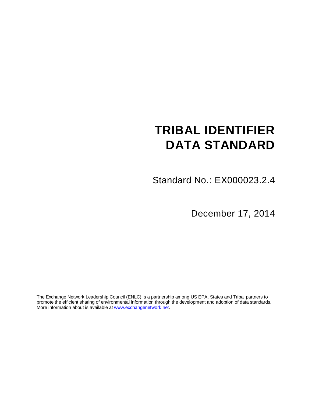# **TRIBAL IDENTIFIER DATA STANDARD**

Standard No.: EX000023.2.4

December 17, 2014

The Exchange Network Leadership Council (ENLC) is a partnership among US EPA, States and Tribal partners to promote the efficient sharing of environmental information through the development and adoption of data standards. More information about is available at [www.exchangenetwork.net.](http://www.exchangenetwork.net/)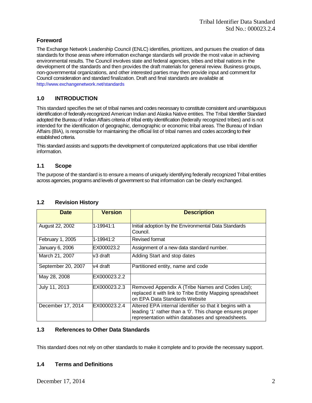# **Foreword**

The Exchange Network Leadership Council (ENLC) identifies, prioritizes, and pursues the creation of data standards for those areas where information exchange standards will provide the most value in achieving environmental results. The Council involves state and federal agencies, tribes and tribal nations in the development of the standards and then provides the draft materials for general review. Business groups, non-governmental organizations, and other interested parties may then provide input and comment for Council consideration and standard finalization. Draft and final standards are available at http://www.exchangenetwork.net/standards

# **1.0 INTRODUCTION**

This standard specifies the set of tribal names and codes necessary to constitute consistent and unambiguous identification of federally-recognized American Indian and Alaska Native entities. The Tribal Identifier Standard adopted the Bureau of Indian Affairs criteria of tribal entity identification (federally recognized tribes) and is not intended for the identification of geographic, demographic or economic tribal areas. The Bureau of Indian Affairs (BIA), is responsible for maintaining the official list of tribal names and codes according to their established criteria.

This standard assists and supports the development of computerized applications that use tribal identifier information.

# **1.1 Scope**

The purpose of the standard is to ensure a means of uniquely identifying federally recognized Tribal entities across agencies, programs and levels of government so that information can be clearly exchanged.

| <b>Date</b>        | <b>Version</b> | <b>Description</b>                                                                                                                                                         |
|--------------------|----------------|----------------------------------------------------------------------------------------------------------------------------------------------------------------------------|
| August 22, 2002    | 1-19941:1      | Initial adoption by the Environmental Data Standards<br>Council.                                                                                                           |
| February 1, 2005   | 1-19941:2      | Revised format                                                                                                                                                             |
| January 6, 2006    | EX000023.2     | Assignment of a new data standard number.                                                                                                                                  |
| March 21, 2007     | lv3 draft      | Adding Start and stop dates                                                                                                                                                |
| September 20, 2007 | lv4 draft      | Partitioned entity, name and code                                                                                                                                          |
| May 28, 2008       | EX000023.2.2   |                                                                                                                                                                            |
| July 11, 2013      | EX000023.2.3   | Removed Appendix A (Tribe Names and Codes List);<br>replaced it with link to Tribe Entity Mapping spreadsheet<br>on EPA Data Standards Website                             |
| December 17, 2014  | EX000023.2.4   | Altered EPA internal identifier so that it begins with a<br>leading '1' rather than a '0'. This change ensures proper<br>representation within databases and spreadsheets. |

# **1.2 Revision History**

# **1.3 References to Other Data Standards**

This standard does not rely on other standards to make it complete and to provide the necessary support.

# **1.4 Terms and Definitions**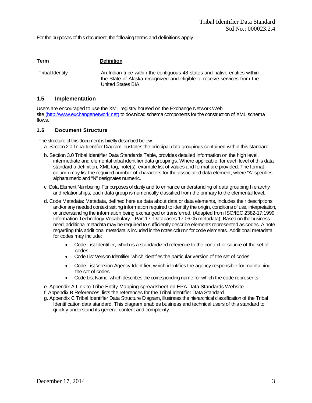For the purposes of this document, the following terms and definitions apply.

| <b>Term</b>     | <b>Definition</b>                                                                                                                                                            |
|-----------------|------------------------------------------------------------------------------------------------------------------------------------------------------------------------------|
| Tribal Identity | An Indian tribe within the contiguous 48 states and native entities within<br>the State of Alaska recognized and eligible to receive services from the<br>United States BIA. |

#### **1.5 Implementation**

Users are encouraged to use the XML registry housed on the Exchange Network Web site [\(http://www.exchangenetwork.net\)](http://www.exchangenetwork.net/) to download schema components for the construction of XML schema flows.

#### **1.6 Document Structure**

The structure of this document is briefly described below:

- a. Section 2.0 Tribal Identifier Diagram, illustrates the principal data groupings contained within this standard.
- b. Section 3.0 Tribal Identifier Data Standards Table, provides detailed information on the high level, intermediate and elemental tribal identifier data groupings. Where applicable, for each level of this data standard a definition, XML tag, note(s), example list of values and format are provided. The format column may list the required number of characters for the associated data element, where "A" specifies alphanumeric and "N" designates numeric.
- c. Data Element Numbering. For purposes of clarity and to enhance understanding of data grouping hierarchy and relationships, each data group is numerically classified from the primary to the elemental level.
- d. Code Metadata: Metadata, defined here as data about data or data elements, includes their descriptions and/or any needed context setting information required to identify the origin, conditions of use, interpretation, or understanding the information being exchanged or transferred. (Adapted from ISO/IEC 2382-17:1999 Information Technology Vocabulary—Part 17: Databases 17.06.05 metadata). Based on the business need, additional metadata may be required to sufficiently describe elements represented as codes. A note regarding this additional metadata is included in the notes column for code elements. Additional metadata for codes may include:
	- Code List Identifier, which is a standardized reference to the context or source of the set of codes
	- Code List Version Identifier, which identifies the particular version of the set of codes.
	- Code List Version Agency Identifier, which identifies the agency responsible for maintaining the set of codes
	- Code List Name, which describes the corresponding name for which the code represents

e. Appendix A Link to Tribe Entity Mapping spreadsheet on EPA Data Standards Website

f. Appendix B References, lists the references for the Tribal Identifier Data Standard.

g. Appendix C Tribal Identifier Data Structure Diagram, illustrates the hierarchical classification of the Tribal Identification data standard. This diagram enables business and technical users of this standard to quickly understand its general content and complexity.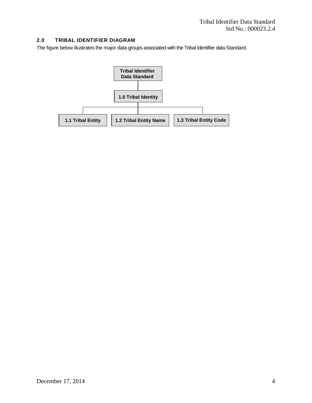# **2.0 TRIBAL IDENTIFIER DIAGRAM**

The figure below illustrates the major data groups associated with the Tribal Identifier data Standard.

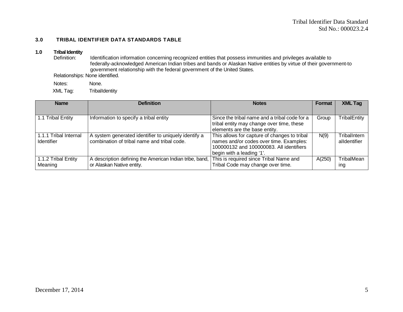# **3.0 TRIBAL IDENTIFIER DATA STANDARDS TABLE**

# **1.0 Tribal Identity**

Identification information concerning recognized entities that possess immunities and privileges available to federally-acknowledged American Indian tribes and bands or Alaskan Native entities by virtue of their government-to government relationship with the federal government of the United States.

Relationships: None identified.

Notes: None. XML Tag: TribalIdentity

| <b>Name</b>           | <b>Definition</b>                                       | <b>Notes</b>                                  | Format | <b>XML Tag</b> |
|-----------------------|---------------------------------------------------------|-----------------------------------------------|--------|----------------|
|                       |                                                         |                                               |        |                |
| 1.1 Tribal Entity     | Information to specify a tribal entity                  | Since the tribal name and a tribal code for a | Group  | TribalEntity   |
|                       |                                                         | tribal entity may change over time, these     |        |                |
|                       |                                                         | elements are the base entity.                 |        |                |
| 1.1.1 Tribal Internal | A system generated identifier to uniquely identify a    | This allows for capture of changes to tribal  | N(9)   | TribalIntern   |
| <b>Identifier</b>     | combination of tribal name and tribal code.             | names and/or codes over time. Examples:       |        | alldentifier   |
|                       |                                                         | 100000132 and 100000083. All identifiers      |        |                |
|                       |                                                         | begin with a leading '1'.                     |        |                |
| 1.1.2 Tribal Entity   | A description defining the American Indian tribe, band, | This is required since Tribal Name and        | A(250) | TribalMean     |
| Meaning               | or Alaskan Native entity.                               | Tribal Code may change over time.             |        | ing            |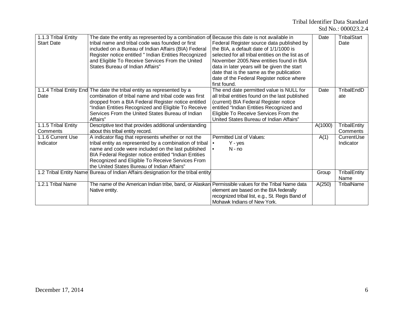| 1.1.3 Tribal Entity<br><b>Start Date</b> | The date the entity as represented by a combination of Because this date is not available in<br>tribal name and tribal code was founded or first<br>included on a Bureau of Indian Affairs (BIA) Federal<br>Register notice entitled " Indian Entities Recognized<br>and Eligible To Receive Services From the United<br>States Bureau of Indian Affairs" | Federal Register source data published by<br>the BIA, a default date of 1/1/1000 is<br>selected for all tribal entities on the list as of<br>November 2005. New entities found in BIA<br>data in later years will be given the start<br>date that is the same as the publication<br>date of the Federal Register notice where<br>first found. | Date    | <b>TribalStart</b><br>Date |
|------------------------------------------|-----------------------------------------------------------------------------------------------------------------------------------------------------------------------------------------------------------------------------------------------------------------------------------------------------------------------------------------------------------|-----------------------------------------------------------------------------------------------------------------------------------------------------------------------------------------------------------------------------------------------------------------------------------------------------------------------------------------------|---------|----------------------------|
| Date                                     | 1.1.4 Tribal Entity End The date the tribal entity as represented by a<br>combination of tribal name and tribal code was first<br>dropped from a BIA Federal Register notice entitled<br>"Indian Entities Recognized and Eligible To Receive<br>Services From the United States Bureau of Indian<br>Affairs"                                              | The end date permitted value is NULL for<br>all tribal entities found on the last published<br>(current) BIA Federal Register notice<br>entitled "Indian Entities Recognized and<br>Eligible To Receive Services From the<br>United States Bureau of Indian Affairs"                                                                          | Date    | TribalEndD<br>ate          |
| 1.1.5 Tribal Entity<br>Comments          | Descriptive text that provides additional understanding<br>about this tribal entity record.                                                                                                                                                                                                                                                               |                                                                                                                                                                                                                                                                                                                                               | A(1000) | TribalEntity<br>Comments   |
| 1.1.6 Current Use<br>Indicator           | A indicator flag that represents whether or not the<br>tribal entity as represented by a combination of tribal<br>name and code were included on the last published<br>BIA Federal Register notice entitled "Indian Entities<br>Recognized and Eligible To Receive Services From<br>the United States Bureau of Indian Affairs"                           | Permitted List of Values:<br>Y - yes<br>$N - no$<br>$\bullet$                                                                                                                                                                                                                                                                                 | A(1)    | CurrentUse<br>Indicator    |
|                                          | 1.2 Tribal Entity Name Bureau of Indian Affairs designation for the tribal entity                                                                                                                                                                                                                                                                         |                                                                                                                                                                                                                                                                                                                                               | Group   | TribalEntity<br>Name       |
| 1.2.1 Tribal Name                        | The name of the American Indian tribe, band, or Alaskan Permissible values for the Tribal Name data<br>Native entity.                                                                                                                                                                                                                                     | element are based on the BIA federally<br>recognized tribal list, e.g., St. Regis Band of<br>Mohawk Indians of New York.                                                                                                                                                                                                                      | A(250)  | <b>TribalName</b>          |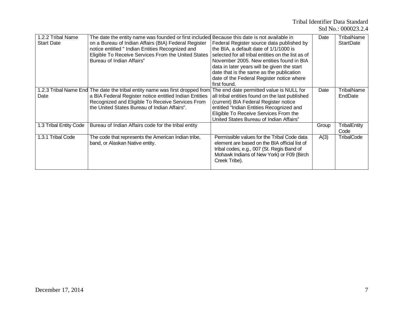| 1.2.2 Tribal Name      | The date the entity name was founded or first included Because this date is not available in |                                                    | Date  | <b>TribalName</b>   |
|------------------------|----------------------------------------------------------------------------------------------|----------------------------------------------------|-------|---------------------|
| <b>Start Date</b>      | on a Bureau of Indian Affairs (BIA) Federal Register                                         | Federal Register source data published by          |       | <b>StartDate</b>    |
|                        | notice entitled " Indian Entities Recognized and                                             | the BIA, a default date of 1/1/1000 is             |       |                     |
|                        | Eligible To Receive Services From the United States                                          | selected for all tribal entities on the list as of |       |                     |
|                        | Bureau of Indian Affairs"                                                                    | November 2005. New entities found in BIA           |       |                     |
|                        |                                                                                              | data in later years will be given the start        |       |                     |
|                        |                                                                                              | date that is the same as the publication           |       |                     |
|                        |                                                                                              | date of the Federal Register notice where          |       |                     |
|                        |                                                                                              | first found.                                       |       |                     |
|                        | 1.2.3 Tribal Name End The date the tribal entity name was first dropped from                 | The end date permitted value is NULL for           | Date  | TribalName          |
| Date                   | a BIA Federal Register notice entitled Indian Entities                                       | all tribal entities found on the last published    |       | EndDate             |
|                        | Recognized and Eligible To Receive Services From                                             | (current) BIA Federal Register notice              |       |                     |
|                        | the United States Bureau of Indian Affairs".                                                 | entitled "Indian Entities Recognized and           |       |                     |
|                        |                                                                                              | Eligible To Receive Services From the              |       |                     |
|                        |                                                                                              | United States Bureau of Indian Affairs"            |       |                     |
| 1.3 Tribal Entity Code | Bureau of Indian Affairs code for the tribal entity                                          |                                                    | Group | <b>TribalEntity</b> |
|                        |                                                                                              |                                                    |       | Code                |
| 1.3.1 Tribal Code      | The code that represents the American Indian tribe,                                          | Permissible values for the Tribal Code data        | A(3)  | TribalCode          |
|                        | band, or Alaskan Native entity.                                                              | element are based on the BIA official list of      |       |                     |
|                        |                                                                                              | tribal codes, e.g., 007 (St. Regis Band of         |       |                     |
|                        |                                                                                              | Mohawk Indians of New York) or F09 (Birch          |       |                     |
|                        |                                                                                              | Creek Tribe).                                      |       |                     |
|                        |                                                                                              |                                                    |       |                     |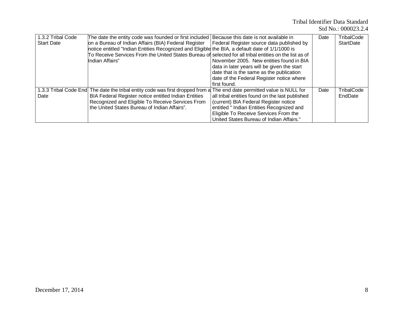|  | Std No.: 000023.2.4 |
|--|---------------------|
|--|---------------------|

| 1.3.2 Tribal Code | The date the entity code was founded or first included Because this date is not available in                            |                                                 | Date | TribalCode       |
|-------------------|-------------------------------------------------------------------------------------------------------------------------|-------------------------------------------------|------|------------------|
| <b>Start Date</b> | on a Bureau of Indian Affairs (BIA) Federal Register                                                                    | Federal Register source data published by       |      | <b>StartDate</b> |
|                   | notice entitled "Indian Entities Recognized and Eligible the BIA, a default date of 1/1/1000 is                         |                                                 |      |                  |
|                   | To Receive Services From the United States Bureau of selected for all tribal entities on the list as of                 |                                                 |      |                  |
|                   | Indian Affairs"                                                                                                         | November 2005. New entities found in BIA        |      |                  |
|                   |                                                                                                                         | data in later years will be given the start     |      |                  |
|                   |                                                                                                                         | date that is the same as the publication        |      |                  |
|                   |                                                                                                                         | date of the Federal Register notice where       |      |                  |
|                   |                                                                                                                         | first found.                                    |      |                  |
|                   | 1.3.3 Tribal Code End The date the tribal entity code was first dropped from a The end date permitted value is NULL for |                                                 | Date | TribalCode       |
| Date              | BIA Federal Register notice entitled Indian Entities                                                                    | all tribal entities found on the last published |      | EndDate          |
|                   | Recognized and Eligible To Receive Services From                                                                        | (current) BIA Federal Register notice           |      |                  |
|                   | the United States Bureau of Indian Affairs".                                                                            | entitled " Indian Entities Recognized and       |      |                  |
|                   |                                                                                                                         | Eligible To Receive Services From the           |      |                  |
|                   |                                                                                                                         | United States Bureau of Indian Affairs."        |      |                  |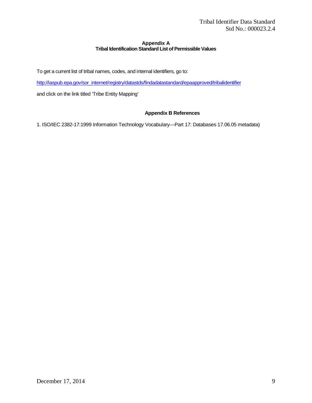# **Appendix A Tribal Identification Standard List of Permissible Values**

To get a current list of tribal names, codes, and internal identifiers, go to:

[http://iaspub.epa.gov/sor\\_internet/registry/datastds/findadatastandard/epaapproved/tribalidentifier](http://iaspub.epa.gov/sor_internet/registry/datastds/findadatastandard/epaapproved/tribalidentifier)

and click on the link titled 'Tribe Entity Mapping'

# **Appendix B References**

1. ISO/IEC 2382-17:1999 Information Technology Vocabulary—Part 17: Databases 17.06.05 metadata)